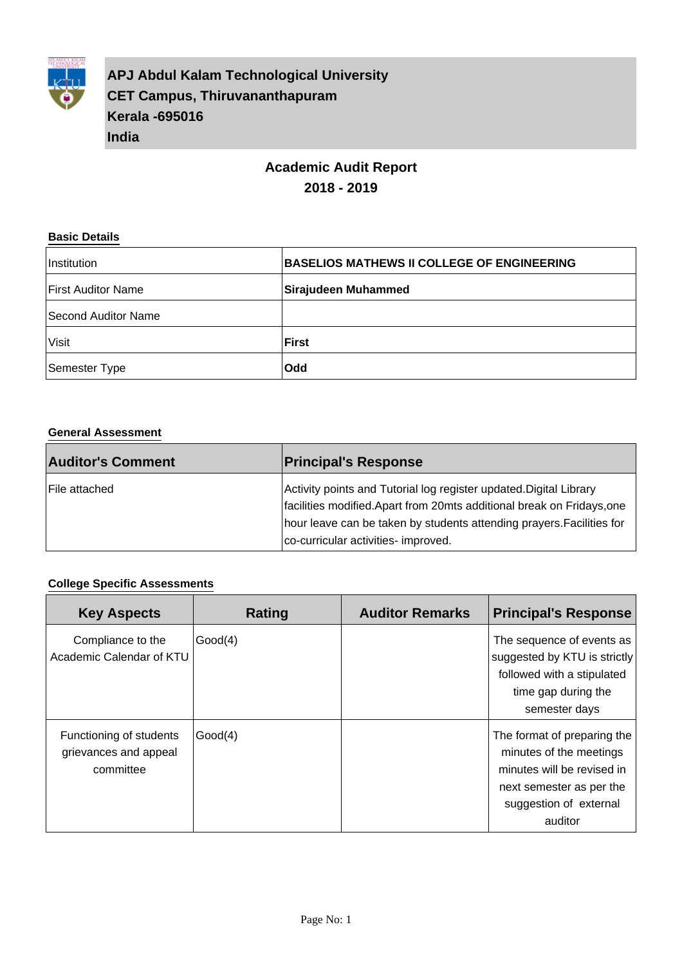

**APJ Abdul Kalam Technological University CET Campus, Thiruvananthapuram Kerala -695016 India**

## **Academic Audit Report 2018 - 2019**

#### **Basic Details**

| Institution               | <b>BASELIOS MATHEWS II COLLEGE OF ENGINEERING</b> |
|---------------------------|---------------------------------------------------|
| <b>First Auditor Name</b> | Sirajudeen Muhammed                               |
| Second Auditor Name       |                                                   |
| Visit                     | <b>First</b>                                      |
| Semester Type             | <b>Odd</b>                                        |

#### **General Assessment**

| <b>Auditor's Comment</b> | <b>Principal's Response</b>                                                                                                                                                                                                                                 |
|--------------------------|-------------------------------------------------------------------------------------------------------------------------------------------------------------------------------------------------------------------------------------------------------------|
| lFile attached           | Activity points and Tutorial log register updated Digital Library<br>facilities modified. Apart from 20mts additional break on Fridays, one<br>hour leave can be taken by students attending prayers. Facilities for<br>co-curricular activities- improved. |

#### **College Specific Assessments**

| <b>Key Aspects</b>                                            | Rating  | <b>Auditor Remarks</b> | <b>Principal's Response</b>                                                                                                                           |
|---------------------------------------------------------------|---------|------------------------|-------------------------------------------------------------------------------------------------------------------------------------------------------|
| Compliance to the<br>Academic Calendar of KTU                 | Good(4) |                        | The sequence of events as<br>suggested by KTU is strictly<br>followed with a stipulated<br>time gap during the<br>semester days                       |
| Functioning of students<br>grievances and appeal<br>committee | Good(4) |                        | The format of preparing the<br>minutes of the meetings<br>minutes will be revised in<br>next semester as per the<br>suggestion of external<br>auditor |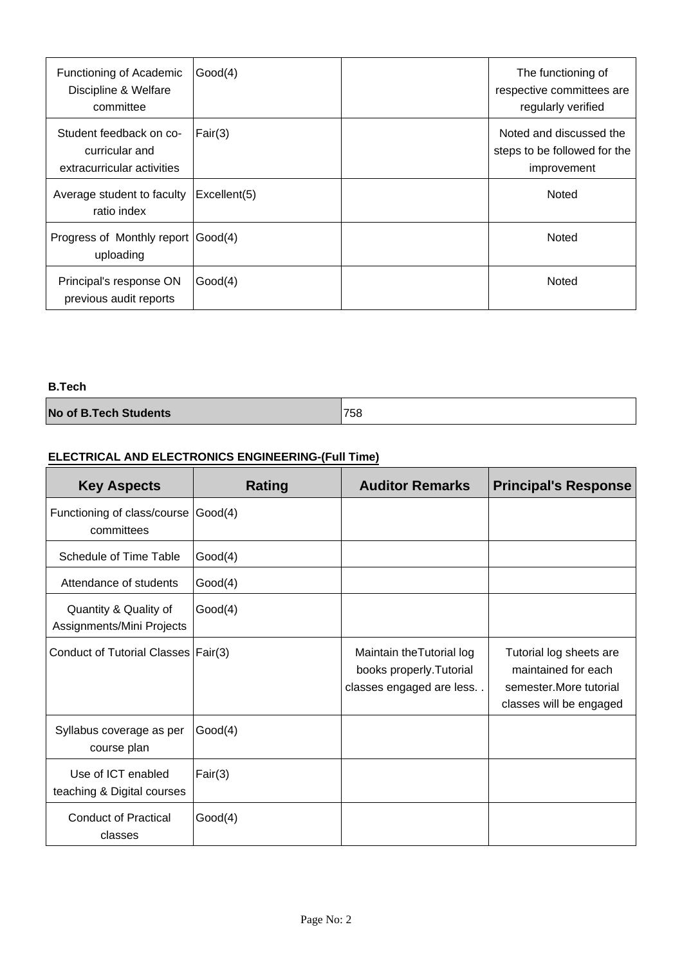| Functioning of Academic<br>Discipline & Welfare<br>committee            | Good(4)      | The functioning of<br>respective committees are<br>regularly verified  |
|-------------------------------------------------------------------------|--------------|------------------------------------------------------------------------|
| Student feedback on co-<br>curricular and<br>extracurricular activities | Fair(3)      | Noted and discussed the<br>steps to be followed for the<br>improvement |
| Average student to faculty<br>ratio index                               | Excellent(5) | Noted                                                                  |
| Progress of Monthly report Good(4)<br>uploading                         |              | Noted                                                                  |
| Principal's response ON<br>previous audit reports                       | Good(4)      | Noted                                                                  |

#### **B.Tech**

| 758 |
|-----|
|     |
|     |

## **ELECTRICAL AND ELECTRONICS ENGINEERING-(Full Time)**

| <b>Key Aspects</b>                                 | Rating  | <b>Auditor Remarks</b>                                                            | <b>Principal's Response</b>                                                                          |
|----------------------------------------------------|---------|-----------------------------------------------------------------------------------|------------------------------------------------------------------------------------------------------|
| Functioning of class/course Good(4)<br>committees  |         |                                                                                   |                                                                                                      |
| Schedule of Time Table                             | Good(4) |                                                                                   |                                                                                                      |
| Attendance of students                             | Good(4) |                                                                                   |                                                                                                      |
| Quantity & Quality of<br>Assignments/Mini Projects | Good(4) |                                                                                   |                                                                                                      |
| Conduct of Tutorial Classes   Fair(3)              |         | Maintain the Tutorial log<br>books properly. Tutorial<br>classes engaged are less | Tutorial log sheets are<br>maintained for each<br>semester. More tutorial<br>classes will be engaged |
| Syllabus coverage as per<br>course plan            | Good(4) |                                                                                   |                                                                                                      |
| Use of ICT enabled<br>teaching & Digital courses   | Fair(3) |                                                                                   |                                                                                                      |
| <b>Conduct of Practical</b><br>classes             | Good(4) |                                                                                   |                                                                                                      |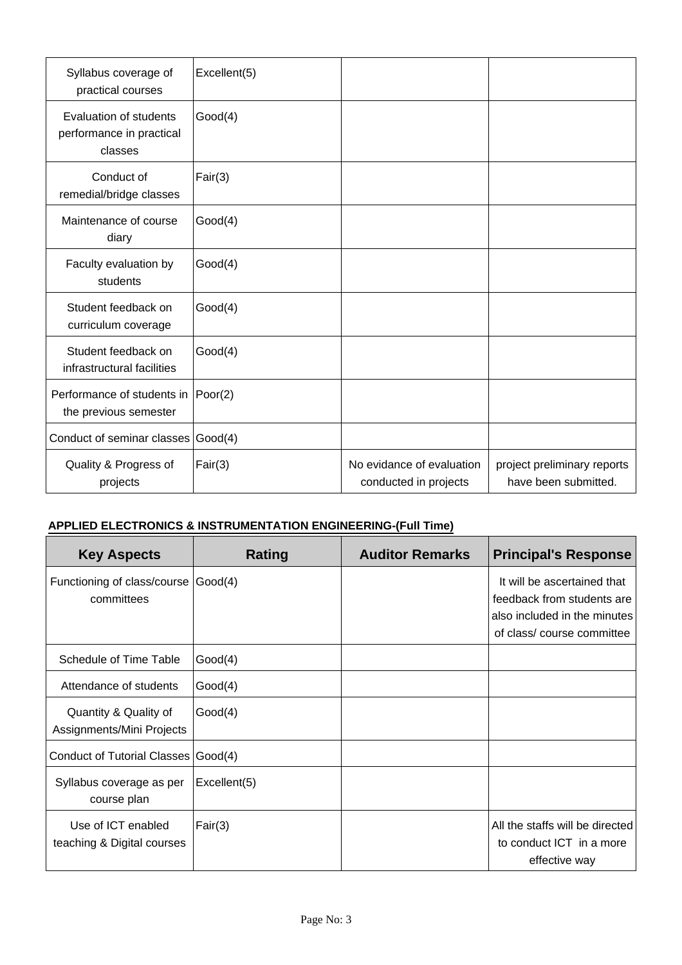| Syllabus coverage of<br>practical courses                     | Excellent(5) |                                                    |                                                     |
|---------------------------------------------------------------|--------------|----------------------------------------------------|-----------------------------------------------------|
| Evaluation of students<br>performance in practical<br>classes | Good(4)      |                                                    |                                                     |
| Conduct of<br>remedial/bridge classes                         | Fair(3)      |                                                    |                                                     |
| Maintenance of course<br>diary                                | Good(4)      |                                                    |                                                     |
| Faculty evaluation by<br>students                             | Good(4)      |                                                    |                                                     |
| Student feedback on<br>curriculum coverage                    | Good(4)      |                                                    |                                                     |
| Student feedback on<br>infrastructural facilities             | Good(4)      |                                                    |                                                     |
| Performance of students in<br>the previous semester           | Poor(2)      |                                                    |                                                     |
| Conduct of seminar classes Good(4)                            |              |                                                    |                                                     |
| Quality & Progress of<br>projects                             | Fair(3)      | No evidance of evaluation<br>conducted in projects | project preliminary reports<br>have been submitted. |

## **APPLIED ELECTRONICS & INSTRUMENTATION ENGINEERING-(Full Time)**

| <b>Key Aspects</b>                                 | Rating       | <b>Auditor Remarks</b> | <b>Principal's Response</b>                                                                                            |
|----------------------------------------------------|--------------|------------------------|------------------------------------------------------------------------------------------------------------------------|
| Functioning of class/course<br>committees          | Good(4)      |                        | It will be ascertained that<br>feedback from students are<br>also included in the minutes<br>of class/course committee |
| Schedule of Time Table                             | Good(4)      |                        |                                                                                                                        |
| Attendance of students                             | Good(4)      |                        |                                                                                                                        |
| Quantity & Quality of<br>Assignments/Mini Projects | Good(4)      |                        |                                                                                                                        |
| Conduct of Tutorial Classes   Good(4)              |              |                        |                                                                                                                        |
| Syllabus coverage as per<br>course plan            | Excellent(5) |                        |                                                                                                                        |
| Use of ICT enabled<br>teaching & Digital courses   | Fair(3)      |                        | All the staffs will be directed<br>to conduct ICT in a more<br>effective way                                           |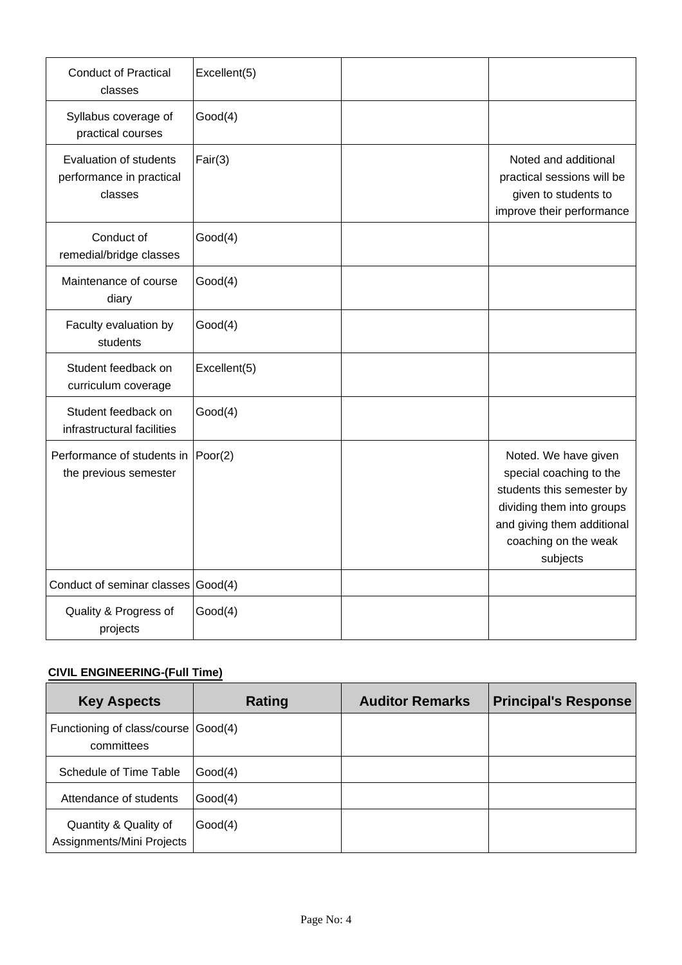| <b>Conduct of Practical</b><br>classes                        | Excellent(5) |                                                                                                                                                                             |
|---------------------------------------------------------------|--------------|-----------------------------------------------------------------------------------------------------------------------------------------------------------------------------|
| Syllabus coverage of<br>practical courses                     | Good(4)      |                                                                                                                                                                             |
| Evaluation of students<br>performance in practical<br>classes | Fair(3)      | Noted and additional<br>practical sessions will be<br>given to students to<br>improve their performance                                                                     |
| Conduct of<br>remedial/bridge classes                         | Good(4)      |                                                                                                                                                                             |
| Maintenance of course<br>diary                                | Good(4)      |                                                                                                                                                                             |
| Faculty evaluation by<br>students                             | Good(4)      |                                                                                                                                                                             |
| Student feedback on<br>curriculum coverage                    | Excellent(5) |                                                                                                                                                                             |
| Student feedback on<br>infrastructural facilities             | Good(4)      |                                                                                                                                                                             |
| Performance of students in<br>the previous semester           | Poor(2)      | Noted. We have given<br>special coaching to the<br>students this semester by<br>dividing them into groups<br>and giving them additional<br>coaching on the weak<br>subjects |
| Conduct of seminar classes Good(4)                            |              |                                                                                                                                                                             |
| Quality & Progress of<br>projects                             | Good(4)      |                                                                                                                                                                             |

## **CIVIL ENGINEERING-(Full Time)**

| <b>Key Aspects</b>                                 | Rating  | <b>Auditor Remarks</b> | <b>Principal's Response</b> |
|----------------------------------------------------|---------|------------------------|-----------------------------|
| Functioning of class/course<br>committees          | Good(4) |                        |                             |
| Schedule of Time Table                             | Good(4) |                        |                             |
| Attendance of students                             | Good(4) |                        |                             |
| Quantity & Quality of<br>Assignments/Mini Projects | Good(4) |                        |                             |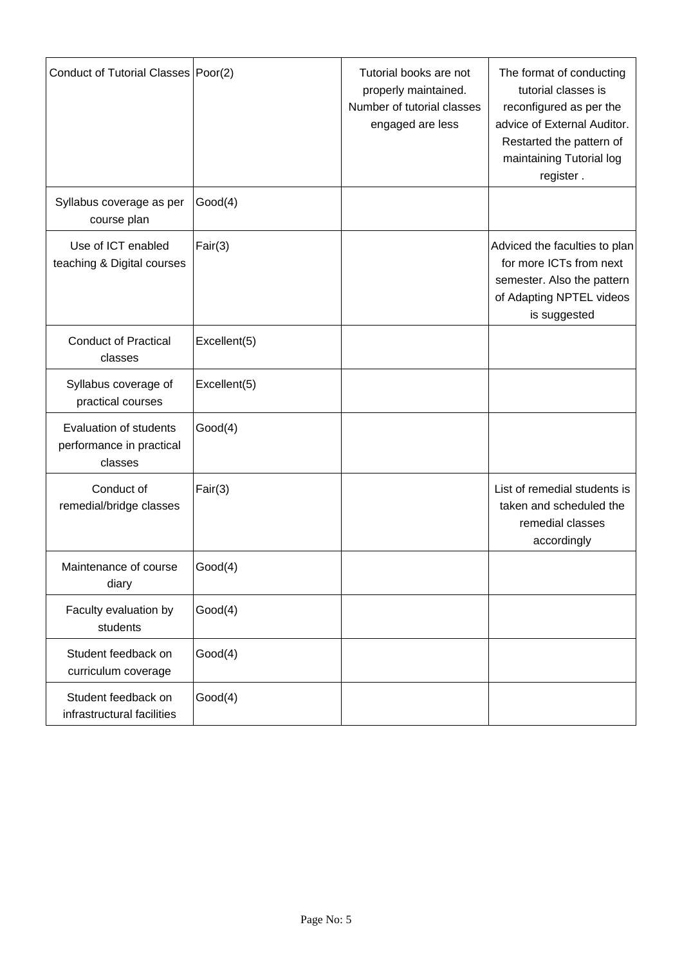| Conduct of Tutorial Classes   Poor(2)                         |              | Tutorial books are not<br>properly maintained.<br>Number of tutorial classes<br>engaged are less | The format of conducting<br>tutorial classes is<br>reconfigured as per the<br>advice of External Auditor.<br>Restarted the pattern of<br>maintaining Tutorial log<br>register. |
|---------------------------------------------------------------|--------------|--------------------------------------------------------------------------------------------------|--------------------------------------------------------------------------------------------------------------------------------------------------------------------------------|
| Syllabus coverage as per<br>course plan                       | Good(4)      |                                                                                                  |                                                                                                                                                                                |
| Use of ICT enabled<br>teaching & Digital courses              | Fair(3)      |                                                                                                  | Adviced the faculties to plan<br>for more ICTs from next<br>semester. Also the pattern<br>of Adapting NPTEL videos<br>is suggested                                             |
| <b>Conduct of Practical</b><br>classes                        | Excellent(5) |                                                                                                  |                                                                                                                                                                                |
| Syllabus coverage of<br>practical courses                     | Excellent(5) |                                                                                                  |                                                                                                                                                                                |
| Evaluation of students<br>performance in practical<br>classes | Good(4)      |                                                                                                  |                                                                                                                                                                                |
| Conduct of<br>remedial/bridge classes                         | Fair(3)      |                                                                                                  | List of remedial students is<br>taken and scheduled the<br>remedial classes<br>accordingly                                                                                     |
| Maintenance of course<br>diary                                | Good(4)      |                                                                                                  |                                                                                                                                                                                |
| Faculty evaluation by<br>students                             | Good(4)      |                                                                                                  |                                                                                                                                                                                |
| Student feedback on<br>curriculum coverage                    | Good(4)      |                                                                                                  |                                                                                                                                                                                |
| Student feedback on<br>infrastructural facilities             | Good(4)      |                                                                                                  |                                                                                                                                                                                |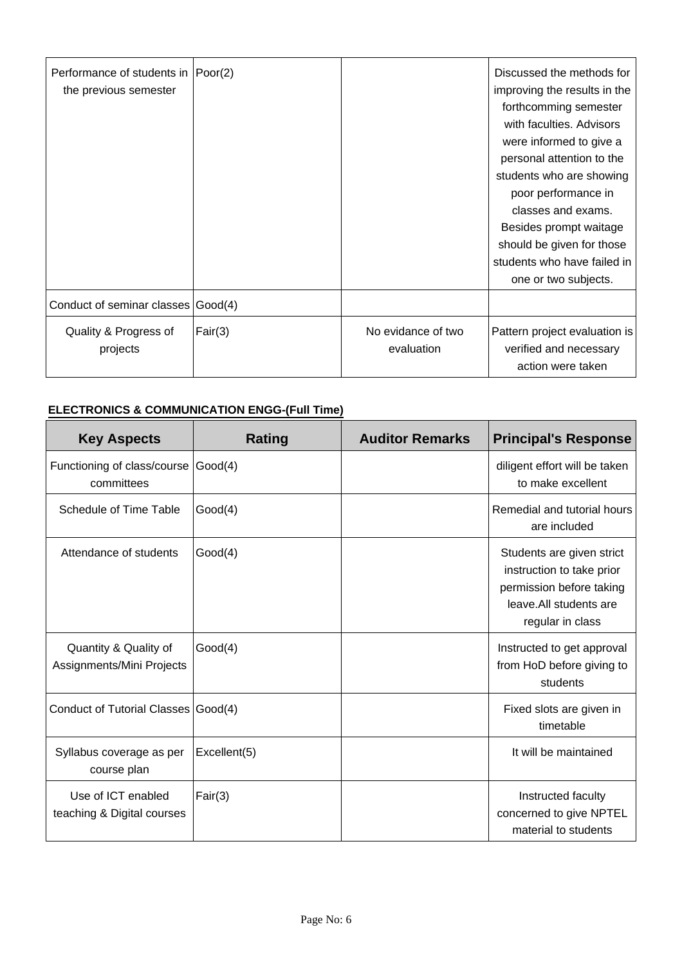| Performance of students in  Poor(2)<br>the previous semester |         |                                  | Discussed the methods for<br>improving the results in the<br>forthcomming semester<br>with faculties. Advisors<br>were informed to give a<br>personal attention to the<br>students who are showing<br>poor performance in<br>classes and exams.<br>Besides prompt waitage<br>should be given for those<br>students who have failed in<br>one or two subjects. |
|--------------------------------------------------------------|---------|----------------------------------|---------------------------------------------------------------------------------------------------------------------------------------------------------------------------------------------------------------------------------------------------------------------------------------------------------------------------------------------------------------|
| Conduct of seminar classes Good(4)                           |         |                                  |                                                                                                                                                                                                                                                                                                                                                               |
| Quality & Progress of<br>projects                            | Fair(3) | No evidance of two<br>evaluation | Pattern project evaluation is<br>verified and necessary<br>action were taken                                                                                                                                                                                                                                                                                  |

## **ELECTRONICS & COMMUNICATION ENGG-(Full Time)**

| <b>Key Aspects</b>                                 | <b>Rating</b> | <b>Auditor Remarks</b> | <b>Principal's Response</b>                                                                                                       |
|----------------------------------------------------|---------------|------------------------|-----------------------------------------------------------------------------------------------------------------------------------|
| Functioning of class/course Good(4)<br>committees  |               |                        | diligent effort will be taken<br>to make excellent                                                                                |
| Schedule of Time Table                             | Good(4)       |                        | Remedial and tutorial hours<br>are included                                                                                       |
| Attendance of students                             | Good(4)       |                        | Students are given strict<br>instruction to take prior<br>permission before taking<br>leave. All students are<br>regular in class |
| Quantity & Quality of<br>Assignments/Mini Projects | Good(4)       |                        | Instructed to get approval<br>from HoD before giving to<br>students                                                               |
| Conduct of Tutorial Classes Good(4)                |               |                        | Fixed slots are given in<br>timetable                                                                                             |
| Syllabus coverage as per<br>course plan            | Excellent(5)  |                        | It will be maintained                                                                                                             |
| Use of ICT enabled<br>teaching & Digital courses   | Fair(3)       |                        | Instructed faculty<br>concerned to give NPTEL<br>material to students                                                             |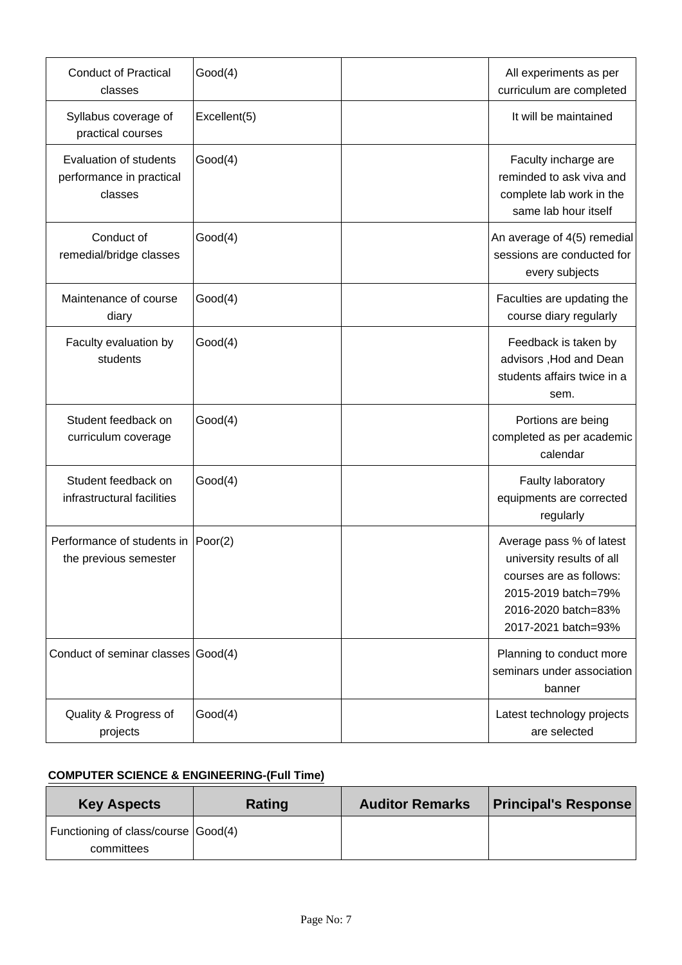| <b>Conduct of Practical</b><br>classes                        | Good(4)      | All experiments as per<br>curriculum are completed                                                                                                    |
|---------------------------------------------------------------|--------------|-------------------------------------------------------------------------------------------------------------------------------------------------------|
| Syllabus coverage of<br>practical courses                     | Excellent(5) | It will be maintained                                                                                                                                 |
| Evaluation of students<br>performance in practical<br>classes | Good(4)      | Faculty incharge are<br>reminded to ask viva and<br>complete lab work in the<br>same lab hour itself                                                  |
| Conduct of<br>remedial/bridge classes                         | Good(4)      | An average of 4(5) remedial<br>sessions are conducted for<br>every subjects                                                                           |
| Maintenance of course<br>diary                                | Good(4)      | Faculties are updating the<br>course diary regularly                                                                                                  |
| Faculty evaluation by<br>students                             | Good(4)      | Feedback is taken by<br>advisors, Hod and Dean<br>students affairs twice in a<br>sem.                                                                 |
| Student feedback on<br>curriculum coverage                    | Good(4)      | Portions are being<br>completed as per academic<br>calendar                                                                                           |
| Student feedback on<br>infrastructural facilities             | Good(4)      | Faulty laboratory<br>equipments are corrected<br>regularly                                                                                            |
| Performance of students in Poor(2)<br>the previous semester   |              | Average pass % of latest<br>university results of all<br>courses are as follows:<br>2015-2019 batch=79%<br>2016-2020 batch=83%<br>2017-2021 batch=93% |
| Conduct of seminar classes Good(4)                            |              | Planning to conduct more<br>seminars under association<br>banner                                                                                      |
| Quality & Progress of<br>projects                             | Good(4)      | Latest technology projects<br>are selected                                                                                                            |

### **COMPUTER SCIENCE & ENGINEERING-(Full Time)**

| <b>Key Aspects</b>                                | Rating | <b>Auditor Remarks</b> | <b>Principal's Response</b> |
|---------------------------------------------------|--------|------------------------|-----------------------------|
| Functioning of class/course Good(4)<br>committees |        |                        |                             |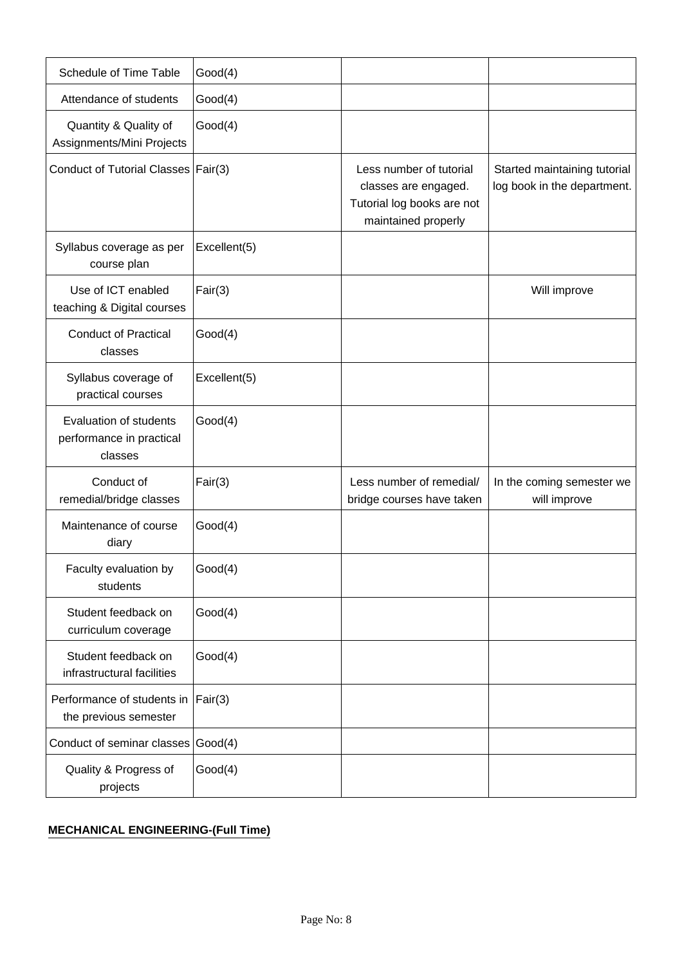| Schedule of Time Table                                        | Good(4)         |                                                                                                      |                                                             |
|---------------------------------------------------------------|-----------------|------------------------------------------------------------------------------------------------------|-------------------------------------------------------------|
| Attendance of students                                        | Good(4)         |                                                                                                      |                                                             |
| Quantity & Quality of<br>Assignments/Mini Projects            | Good(4)         |                                                                                                      |                                                             |
| Conduct of Tutorial Classes   Fair(3)                         |                 | Less number of tutorial<br>classes are engaged.<br>Tutorial log books are not<br>maintained properly | Started maintaining tutorial<br>log book in the department. |
| Syllabus coverage as per<br>course plan                       | Excellent(5)    |                                                                                                      |                                                             |
| Use of ICT enabled<br>teaching & Digital courses              | Fair(3)         |                                                                                                      | Will improve                                                |
| <b>Conduct of Practical</b><br>classes                        | Good(4)         |                                                                                                      |                                                             |
| Syllabus coverage of<br>practical courses                     | Excellent(5)    |                                                                                                      |                                                             |
| Evaluation of students<br>performance in practical<br>classes | Good(4)         |                                                                                                      |                                                             |
| Conduct of<br>remedial/bridge classes                         | Fair(3)         | Less number of remedial/<br>bridge courses have taken                                                | In the coming semester we<br>will improve                   |
| Maintenance of course<br>diary                                | Good(4)         |                                                                                                      |                                                             |
| Faculty evaluation by<br>students                             | Good(4)         |                                                                                                      |                                                             |
| Student feedback on<br>curriculum coverage                    | Good(4)         |                                                                                                      |                                                             |
| Student feedback on<br>infrastructural facilities             | Good(4)         |                                                                                                      |                                                             |
| Performance of students in<br>the previous semester           | $\vert$ Fair(3) |                                                                                                      |                                                             |
| Conduct of seminar classes Good(4)                            |                 |                                                                                                      |                                                             |
| Quality & Progress of<br>projects                             | Good(4)         |                                                                                                      |                                                             |

## **MECHANICAL ENGINEERING-(Full Time)**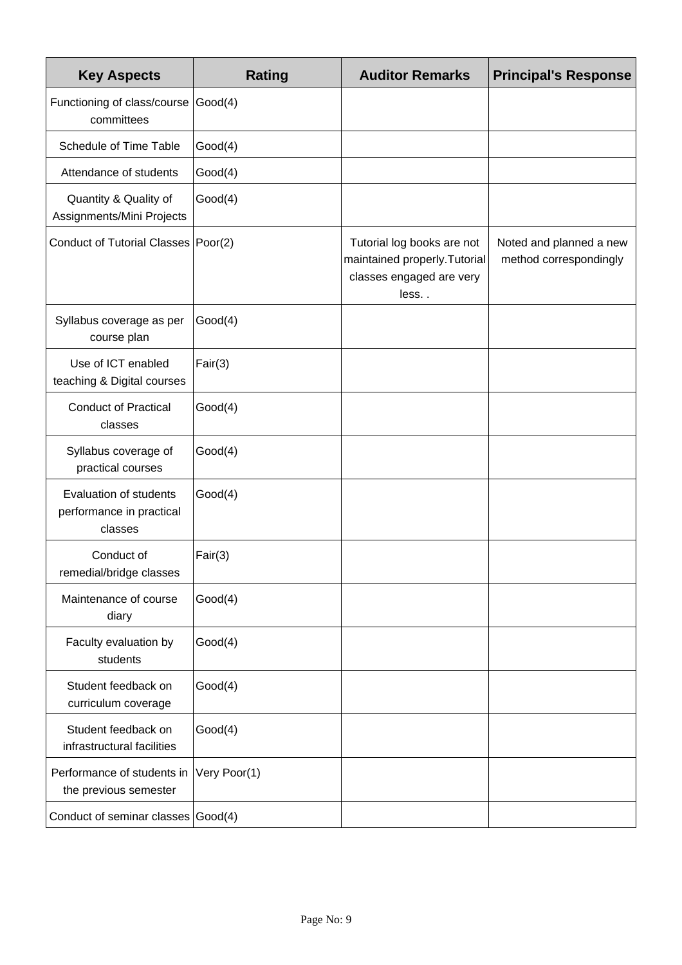| <b>Key Aspects</b>                                                   | <b>Rating</b> | <b>Auditor Remarks</b>                                                                          | <b>Principal's Response</b>                       |
|----------------------------------------------------------------------|---------------|-------------------------------------------------------------------------------------------------|---------------------------------------------------|
| Functioning of class/course<br>committees                            | Good(4)       |                                                                                                 |                                                   |
| Schedule of Time Table                                               | Good(4)       |                                                                                                 |                                                   |
| Attendance of students                                               | Good(4)       |                                                                                                 |                                                   |
| Quantity & Quality of<br>Assignments/Mini Projects                   | Good(4)       |                                                                                                 |                                                   |
| Conduct of Tutorial Classes   Poor(2)                                |               | Tutorial log books are not<br>maintained properly. Tutorial<br>classes engaged are very<br>less | Noted and planned a new<br>method correspondingly |
| Syllabus coverage as per<br>course plan                              | Good(4)       |                                                                                                 |                                                   |
| Use of ICT enabled<br>teaching & Digital courses                     | Fair(3)       |                                                                                                 |                                                   |
| <b>Conduct of Practical</b><br>classes                               | Good(4)       |                                                                                                 |                                                   |
| Syllabus coverage of<br>practical courses                            | Good(4)       |                                                                                                 |                                                   |
| <b>Evaluation of students</b><br>performance in practical<br>classes | Good(4)       |                                                                                                 |                                                   |
| Conduct of<br>remedial/bridge classes                                | Fair(3)       |                                                                                                 |                                                   |
| Maintenance of course<br>diary                                       | Good(4)       |                                                                                                 |                                                   |
| Faculty evaluation by<br>students                                    | Good(4)       |                                                                                                 |                                                   |
| Student feedback on<br>curriculum coverage                           | Good(4)       |                                                                                                 |                                                   |
| Student feedback on<br>infrastructural facilities                    | Good(4)       |                                                                                                 |                                                   |
| Performance of students in<br>the previous semester                  | Very Poor(1)  |                                                                                                 |                                                   |
| Conduct of seminar classes Good(4)                                   |               |                                                                                                 |                                                   |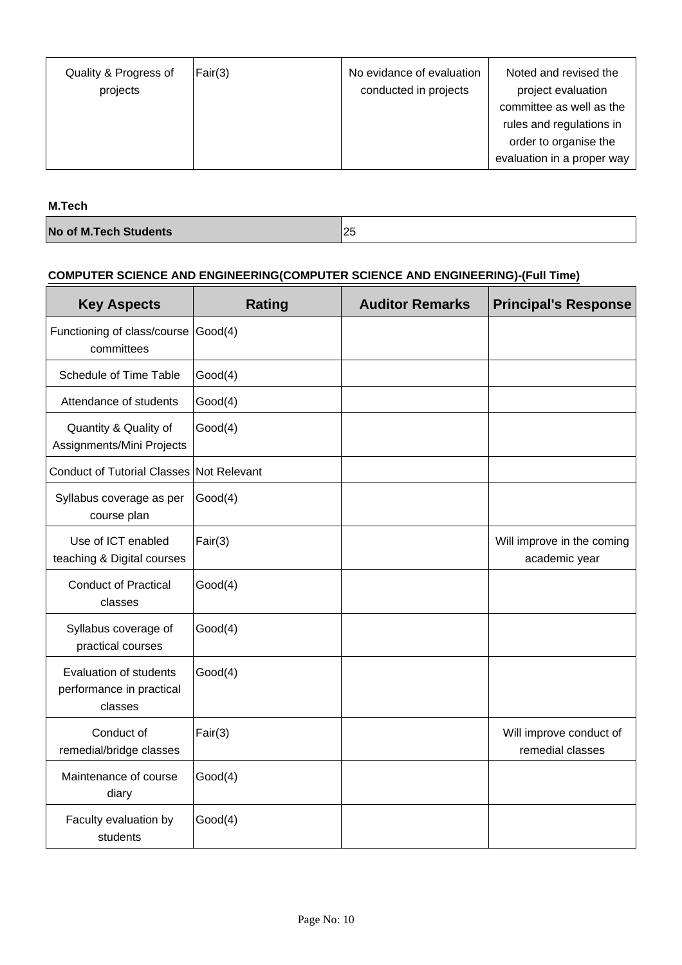| Quality & Progress of<br>projects | Fair(3) | No evidance of evaluation<br>conducted in projects | Noted and revised the<br>project evaluation<br>committee as well as the<br>rules and regulations in<br>order to organise the<br>evaluation in a proper way |
|-----------------------------------|---------|----------------------------------------------------|------------------------------------------------------------------------------------------------------------------------------------------------------------|
|-----------------------------------|---------|----------------------------------------------------|------------------------------------------------------------------------------------------------------------------------------------------------------------|

**M.Tech**

**No of M.Tech Students** 25

# **COMPUTER SCIENCE AND ENGINEERING(COMPUTER SCIENCE AND ENGINEERING)-(Full Time)**

| <b>Key Aspects</b>                                            | <b>Rating</b> | <b>Auditor Remarks</b> | <b>Principal's Response</b>                 |
|---------------------------------------------------------------|---------------|------------------------|---------------------------------------------|
| Functioning of class/course<br>committees                     | Good(4)       |                        |                                             |
| Schedule of Time Table                                        | Good(4)       |                        |                                             |
| Attendance of students                                        | Good(4)       |                        |                                             |
| Quantity & Quality of<br>Assignments/Mini Projects            | Good(4)       |                        |                                             |
| Conduct of Tutorial Classes Not Relevant                      |               |                        |                                             |
| Syllabus coverage as per<br>course plan                       | Good(4)       |                        |                                             |
| Use of ICT enabled<br>teaching & Digital courses              | Fair(3)       |                        | Will improve in the coming<br>academic year |
| <b>Conduct of Practical</b><br>classes                        | Good(4)       |                        |                                             |
| Syllabus coverage of<br>practical courses                     | Good(4)       |                        |                                             |
| Evaluation of students<br>performance in practical<br>classes | Good(4)       |                        |                                             |
| Conduct of<br>remedial/bridge classes                         | Fair(3)       |                        | Will improve conduct of<br>remedial classes |
| Maintenance of course<br>diary                                | Good(4)       |                        |                                             |
| Faculty evaluation by<br>students                             | Good(4)       |                        |                                             |